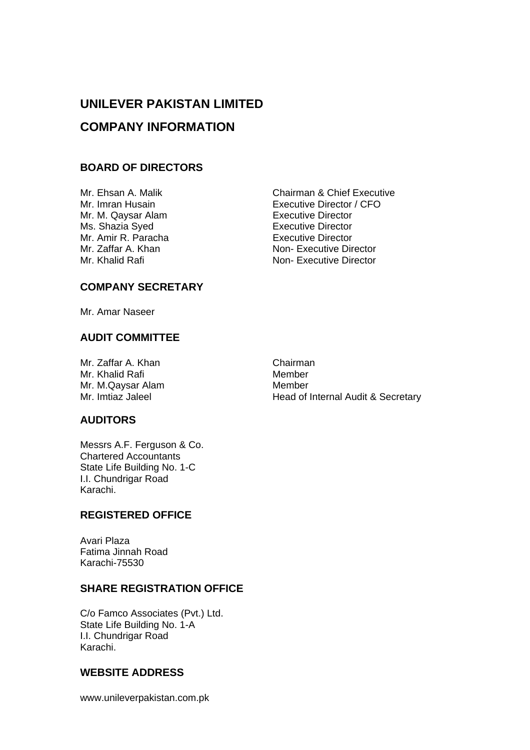# **UNILEVER PAKISTAN LIMITED COMPANY INFORMATION**

## **BOARD OF DIRECTORS**

Mr. M. Qaysar Alam **Executive Director** Ms. Shazia Syed **Executive Director** Mr. Amir R. Paracha<br>
Mr. Zaffar A. Khan<br>
Mon- Executive Dir

Mr. Ehsan A. Malik Chairman & Chief Executive Mr. Imran Husain **Executive Director / CFO** Non- Executive Director Mr. Khalid Rafi Non- Executive Director

## **COMPANY SECRETARY**

Mr. Amar Naseer

## **AUDIT COMMITTEE**

Mr. Zaffar A. Khan Chairman Mr. Khalid Rafi Member<br>
Mr. M. Qaysar Alam Member Mr. M.Qaysar Alam<br>Mr. Imtiaz Jaleel

Head of Internal Audit & Secretary

## **AUDITORS**

Messrs A.F. Ferguson & Co. Chartered Accountants State Life Building No. 1-C I.I. Chundrigar Road Karachi.

## **REGISTERED OFFICE**

Avari Plaza Fatima Jinnah Road Karachi-75530

## **SHARE REGISTRATION OFFICE**

C/o Famco Associates (Pvt.) Ltd. State Life Building No. 1-A I.I. Chundrigar Road Karachi.

## **WEBSITE ADDRESS**

www.unileverpakistan.com.pk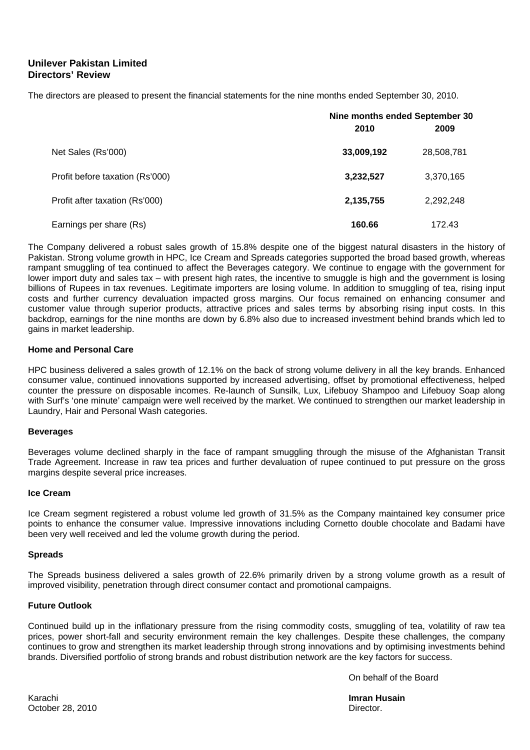### **Unilever Pakistan Limited Directors' Review**

The directors are pleased to present the financial statements for the nine months ended September 30, 2010.

|                                 | Nine months ended September 30 |            |  |  |
|---------------------------------|--------------------------------|------------|--|--|
|                                 | 2010                           | 2009       |  |  |
| Net Sales (Rs'000)              | 33,009,192                     | 28,508,781 |  |  |
| Profit before taxation (Rs'000) | 3,232,527                      | 3,370,165  |  |  |
| Profit after taxation (Rs'000)  | 2,135,755                      | 2,292,248  |  |  |
| Earnings per share (Rs)         | 160.66                         | 172.43     |  |  |

The Company delivered a robust sales growth of 15.8% despite one of the biggest natural disasters in the history of Pakistan. Strong volume growth in HPC, Ice Cream and Spreads categories supported the broad based growth, whereas rampant smuggling of tea continued to affect the Beverages category. We continue to engage with the government for lower import duty and sales tax – with present high rates, the incentive to smuggle is high and the government is losing billions of Rupees in tax revenues. Legitimate importers are losing volume. In addition to smuggling of tea, rising input costs and further currency devaluation impacted gross margins. Our focus remained on enhancing consumer and customer value through superior products, attractive prices and sales terms by absorbing rising input costs. In this backdrop, earnings for the nine months are down by 6.8% also due to increased investment behind brands which led to gains in market leadership.

#### **Home and Personal Care**

HPC business delivered a sales growth of 12.1% on the back of strong volume delivery in all the key brands. Enhanced consumer value, continued innovations supported by increased advertising, offset by promotional effectiveness, helped counter the pressure on disposable incomes. Re-launch of Sunsilk, Lux, Lifebuoy Shampoo and Lifebuoy Soap along with Surf's 'one minute' campaign were well received by the market. We continued to strengthen our market leadership in Laundry, Hair and Personal Wash categories.

#### **Beverages**

Beverages volume declined sharply in the face of rampant smuggling through the misuse of the Afghanistan Transit Trade Agreement. Increase in raw tea prices and further devaluation of rupee continued to put pressure on the gross margins despite several price increases.

#### **Ice Cream**

Ice Cream segment registered a robust volume led growth of 31.5% as the Company maintained key consumer price points to enhance the consumer value. Impressive innovations including Cornetto double chocolate and Badami have been very well received and led the volume growth during the period.

#### **Spreads**

The Spreads business delivered a sales growth of 22.6% primarily driven by a strong volume growth as a result of improved visibility, penetration through direct consumer contact and promotional campaigns.

#### **Future Outlook**

Continued build up in the inflationary pressure from the rising commodity costs, smuggling of tea, volatility of raw tea prices, power short-fall and security environment remain the key challenges. Despite these challenges, the company continues to grow and strengthen its market leadership through strong innovations and by optimising investments behind brands. Diversified portfolio of strong brands and robust distribution network are the key factors for success.

On behalf of the Board

Karachi **Imran Husain**  October 28, 2010 **Director. Director. Director. Director. Director.**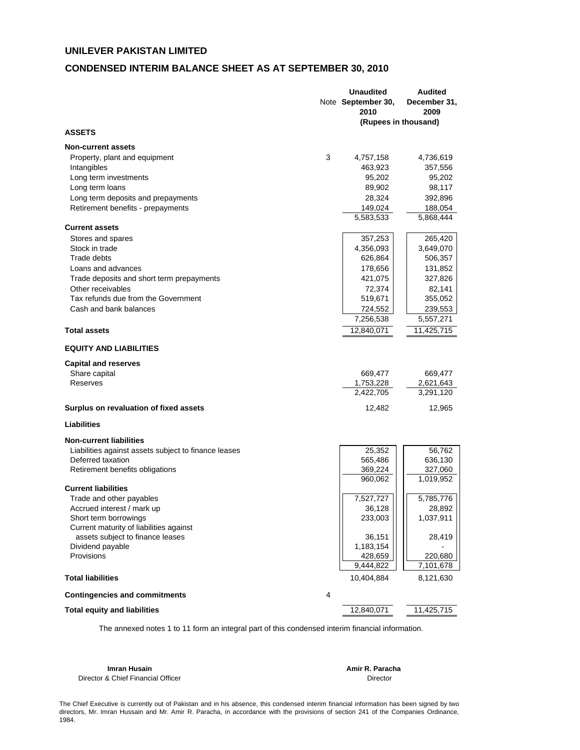#### **CONDENSED INTERIM BALANCE SHEET AS AT SEPTEMBER 30, 2010**

|                                                      |   | <b>Unaudited</b>   | <b>Audited</b>       |
|------------------------------------------------------|---|--------------------|----------------------|
|                                                      |   | Note September 30, | December 31,         |
|                                                      |   | 2010               | 2009                 |
|                                                      |   |                    | (Rupees in thousand) |
| <b>ASSETS</b>                                        |   |                    |                      |
| <b>Non-current assets</b>                            |   |                    |                      |
| Property, plant and equipment                        | 3 | 4,757,158          | 4,736,619            |
| Intangibles                                          |   | 463,923            | 357,556              |
| Long term investments                                |   | 95,202             | 95,202               |
| Long term loans                                      |   | 89,902             | 98,117               |
| Long term deposits and prepayments                   |   | 28,324             | 392,896              |
| Retirement benefits - prepayments                    |   | 149,024            | 188,054              |
|                                                      |   | 5,583,533          | 5,868,444            |
| <b>Current assets</b>                                |   |                    |                      |
| Stores and spares                                    |   | 357,253            | 265,420              |
| Stock in trade                                       |   | 4,356,093          | 3,649,070            |
| Trade debts                                          |   | 626,864            | 506,357              |
| Loans and advances                                   |   | 178,656            | 131,852              |
| Trade deposits and short term prepayments            |   | 421,075            | 327,826              |
| Other receivables                                    |   | 72,374             | 82,141               |
| Tax refunds due from the Government                  |   | 519,671            | 355,052              |
| Cash and bank balances                               |   | 724,552            | 239,553              |
|                                                      |   | 7,256,538          | 5,557,271            |
| <b>Total assets</b>                                  |   | 12,840,071         | 11,425,715           |
| <b>EQUITY AND LIABILITIES</b>                        |   |                    |                      |
| <b>Capital and reserves</b>                          |   |                    |                      |
| Share capital                                        |   | 669,477            | 669,477              |
| Reserves                                             |   | 1,753,228          | 2,621,643            |
|                                                      |   | 2,422,705          | 3,291,120            |
|                                                      |   |                    |                      |
| Surplus on revaluation of fixed assets               |   | 12,482             | 12,965               |
| <b>Liabilities</b>                                   |   |                    |                      |
| <b>Non-current liabilities</b>                       |   |                    |                      |
| Liabilities against assets subject to finance leases |   | 25,352             | 56,762               |
| Deferred taxation                                    |   | 565,486            | 636,130              |
| Retirement benefits obligations                      |   | 369,224            | 327,060              |
| <b>Current liabilities</b>                           |   | 960,062            | 1,019,952            |
| Trade and other payables                             |   | 7,527,727          | 5,785,776            |
| Accrued interest / mark up                           |   | 36,128             | 28,892               |
| Short term borrowings                                |   | 233,003            | 1,037,911            |
| Current maturity of liabilities against              |   |                    |                      |
| assets subject to finance leases                     |   | 36,151             | 28,419               |
| Dividend payable                                     |   | 1,183,154          |                      |
| Provisions                                           |   | 428,659            | 220,680              |
|                                                      |   | 9,444,822          | 7,101,678            |
| <b>Total liabilities</b>                             |   | 10,404,884         | 8,121,630            |
| <b>Contingencies and commitments</b>                 | 4 |                    |                      |
| <b>Total equity and liabilities</b>                  |   | 12,840,071         | 11,425,715           |
|                                                      |   |                    |                      |

The annexed notes 1 to 11 form an integral part of this condensed interim financial information.

**Imran Husain Amir R. Paracha** Director & Chief Financial Officer **Director** Director

The Chief Executive is currently out of Pakistan and in his absence, this condensed interim financial information has been signed by two directors, Mr. Imran Hussain and Mr. Amir R. Paracha, in accordance with the provisions of section 241 of the Companies Ordinance, 1984.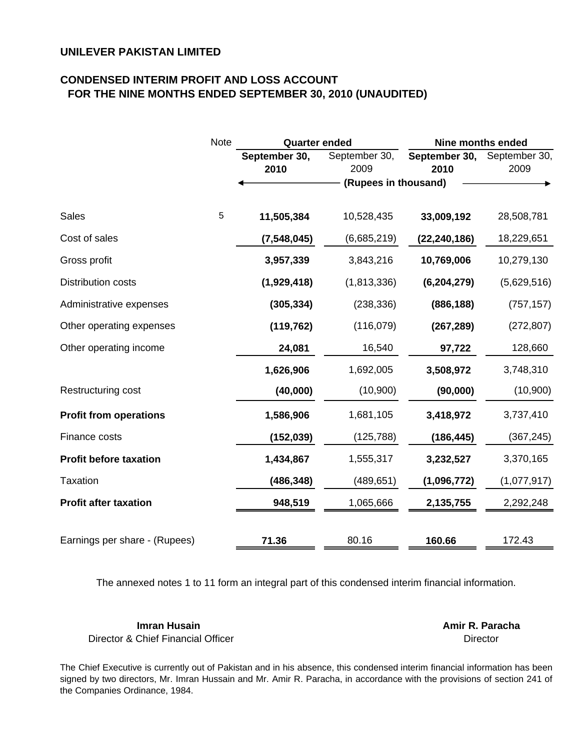## **CONDENSED INTERIM PROFIT AND LOSS ACCOUNT FOR THE NINE MONTHS ENDED SEPTEMBER 30, 2010 (UNAUDITED)**

|                               | <b>Note</b> | <b>Quarter ended</b> |                      | <b>Nine months ended</b> |               |  |
|-------------------------------|-------------|----------------------|----------------------|--------------------------|---------------|--|
|                               |             | September 30,        | September 30,        | September 30,            | September 30, |  |
|                               |             | 2010                 | 2009                 | 2010                     | 2009          |  |
|                               |             |                      | (Rupees in thousand) |                          |               |  |
| <b>Sales</b>                  | $\sqrt{5}$  | 11,505,384           | 10,528,435           | 33,009,192               | 28,508,781    |  |
| Cost of sales                 |             | (7, 548, 045)        | (6,685,219)          | (22, 240, 186)           | 18,229,651    |  |
| Gross profit                  |             | 3,957,339            | 3,843,216            | 10,769,006               | 10,279,130    |  |
| <b>Distribution costs</b>     |             | (1,929,418)          | (1,813,336)          | (6, 204, 279)            | (5,629,516)   |  |
| Administrative expenses       |             | (305, 334)           | (238, 336)           | (886, 188)               | (757, 157)    |  |
| Other operating expenses      |             | (119, 762)           | (116, 079)           | (267, 289)               | (272, 807)    |  |
| Other operating income        |             | 24,081               | 16,540               | 97,722                   | 128,660       |  |
|                               |             | 1,626,906            | 1,692,005            | 3,508,972                | 3,748,310     |  |
| Restructuring cost            |             | (40,000)             | (10,900)             | (90,000)                 | (10,900)      |  |
| <b>Profit from operations</b> |             | 1,586,906            | 1,681,105            | 3,418,972                | 3,737,410     |  |
| Finance costs                 |             | (152, 039)           | (125, 788)           | (186, 445)               | (367, 245)    |  |
| <b>Profit before taxation</b> |             | 1,434,867            | 1,555,317            | 3,232,527                | 3,370,165     |  |
| <b>Taxation</b>               |             | (486, 348)           | (489, 651)           | (1,096,772)              | (1,077,917)   |  |
| <b>Profit after taxation</b>  |             | 948,519              | 1,065,666            | 2,135,755                | 2,292,248     |  |
|                               |             |                      |                      |                          |               |  |
| Earnings per share - (Rupees) |             | 71.36                | 80.16                | 160.66                   | 172.43        |  |

The annexed notes 1 to 11 form an integral part of this condensed interim financial information.

**Imran Husain Amir R. Paracha** Director & Chief Financial Officer

**Director** 

The Chief Executive is currently out of Pakistan and in his absence, this condensed interim financial information has been signed by two directors, Mr. Imran Hussain and Mr. Amir R. Paracha, in accordance with the provisions of section 241 of the Companies Ordinance, 1984.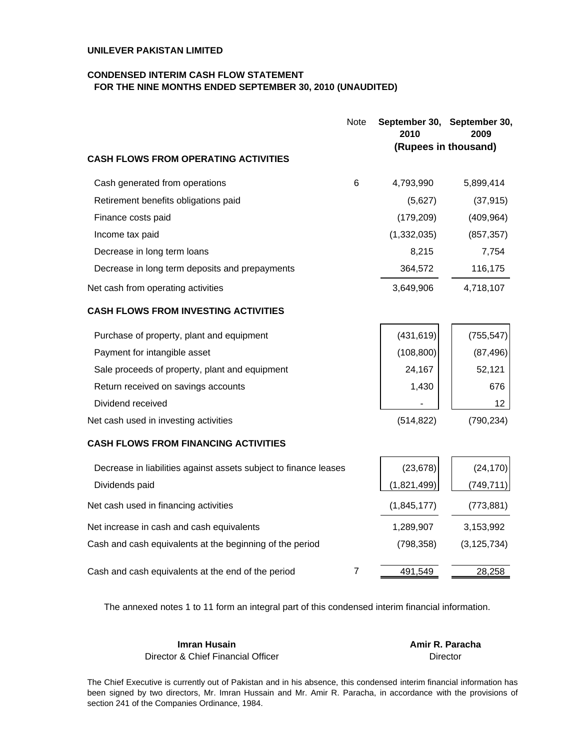#### **CONDENSED INTERIM CASH FLOW STATEMENT FOR THE NINE MONTHS ENDED SEPTEMBER 30, 2010 (UNAUDITED)**

|                                                                  | Note           | 2010        | September 30, September 30,<br>2009 |
|------------------------------------------------------------------|----------------|-------------|-------------------------------------|
| <b>CASH FLOWS FROM OPERATING ACTIVITIES</b>                      |                |             | (Rupees in thousand)                |
| Cash generated from operations                                   | 6              | 4,793,990   | 5,899,414                           |
| Retirement benefits obligations paid                             |                | (5,627)     | (37, 915)                           |
| Finance costs paid                                               |                | (179, 209)  | (409, 964)                          |
| Income tax paid                                                  |                | (1,332,035) | (857, 357)                          |
| Decrease in long term loans                                      |                | 8,215       | 7,754                               |
| Decrease in long term deposits and prepayments                   |                | 364,572     | 116,175                             |
| Net cash from operating activities                               |                | 3,649,906   | 4,718,107                           |
| <b>CASH FLOWS FROM INVESTING ACTIVITIES</b>                      |                |             |                                     |
| Purchase of property, plant and equipment                        |                | (431, 619)  | (755, 547)                          |
| Payment for intangible asset                                     |                | (108, 800)  | (87, 496)                           |
| Sale proceeds of property, plant and equipment                   |                | 24,167      | 52,121                              |
| Return received on savings accounts                              |                | 1,430       | 676                                 |
| Dividend received                                                |                |             | 12                                  |
| Net cash used in investing activities                            |                | (514, 822)  | (790, 234)                          |
| <b>CASH FLOWS FROM FINANCING ACTIVITIES</b>                      |                |             |                                     |
| Decrease in liabilities against assets subject to finance leases |                | (23, 678)   | (24, 170)                           |
| Dividends paid                                                   |                | (1,821,499) | (749, 711)                          |
| Net cash used in financing activities                            |                | (1,845,177) | (773, 881)                          |
| Net increase in cash and cash equivalents                        |                | 1,289,907   | 3,153,992                           |
| Cash and cash equivalents at the beginning of the period         |                | (798, 358)  | (3, 125, 734)                       |
| Cash and cash equivalents at the end of the period               | $\overline{7}$ | 491,549     | 28,258                              |

The annexed notes 1 to 11 form an integral part of this condensed interim financial information.

#### **Imran Husain Community Community Community Amir R. Paracha** Director & Chief Financial Officer

Director

The Chief Executive is currently out of Pakistan and in his absence, this condensed interim financial information has been signed by two directors, Mr. Imran Hussain and Mr. Amir R. Paracha, in accordance with the provisions of section 241 of the Companies Ordinance, 1984.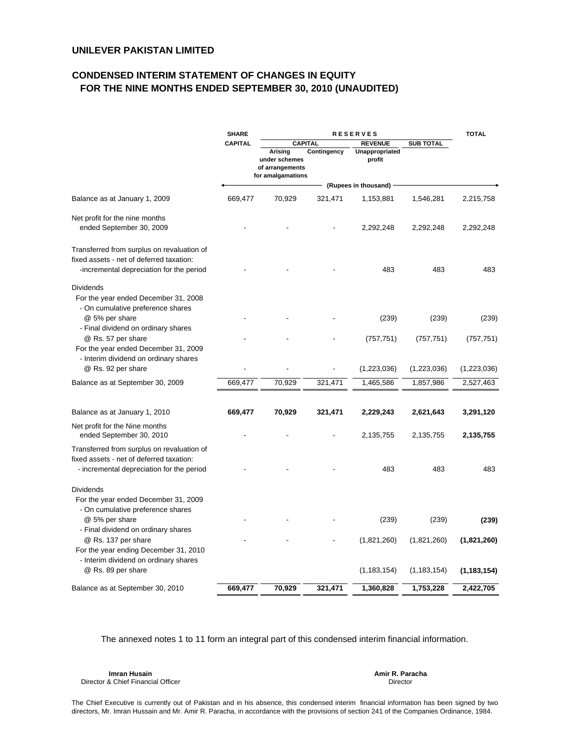### **CONDENSED INTERIM STATEMENT OF CHANGES IN EQUITY FOR THE NINE MONTHS ENDED SEPTEMBER 30, 2010 (UNAUDITED)**

|                                                                                                                                              | <b>SHARE</b>   | <b>RESERVES</b>                                                  |             |                          |                  |               |
|----------------------------------------------------------------------------------------------------------------------------------------------|----------------|------------------------------------------------------------------|-------------|--------------------------|------------------|---------------|
|                                                                                                                                              | <b>CAPITAL</b> | <b>CAPITAL</b>                                                   |             | <b>REVENUE</b>           | <b>SUB TOTAL</b> |               |
|                                                                                                                                              |                | Arising<br>under schemes<br>of arrangements<br>for amalgamations | Contingency | Unappropriated<br>profit |                  |               |
|                                                                                                                                              |                |                                                                  |             | (Rupees in thousand)     |                  |               |
| Balance as at January 1, 2009                                                                                                                | 669,477        | 70,929                                                           | 321,471     | 1,153,881                | 1,546,281        | 2,215,758     |
| Net profit for the nine months<br>ended September 30, 2009                                                                                   |                |                                                                  |             | 2,292,248                | 2,292,248        | 2,292,248     |
| Transferred from surplus on revaluation of<br>fixed assets - net of deferred taxation:<br>-incremental depreciation for the period           |                |                                                                  |             | 483                      | 483              | 483           |
| <b>Dividends</b><br>For the year ended December 31, 2008<br>- On cumulative preference shares                                                |                |                                                                  |             |                          |                  |               |
| @ 5% per share<br>- Final dividend on ordinary shares                                                                                        |                |                                                                  |             | (239)                    | (239)            | (239)         |
| @ Rs. 57 per share<br>For the year ended December 31, 2009                                                                                   |                |                                                                  |             | (757, 751)               | (757, 751)       | (757, 751)    |
| - Interim dividend on ordinary shares<br>@ Rs. 92 per share                                                                                  |                |                                                                  |             | (1,223,036)              | (1,223,036)      | (1,223,036)   |
| Balance as at September 30, 2009                                                                                                             | 669,477        | 70,929                                                           | 321,471     | 1,465,586                | 1,857,986        | 2,527,463     |
| Balance as at January 1, 2010                                                                                                                | 669,477        | 70,929                                                           | 321,471     | 2,229,243                | 2,621,643        | 3,291,120     |
| Net profit for the Nine months<br>ended September 30, 2010                                                                                   |                |                                                                  |             | 2,135,755                | 2,135,755        | 2,135,755     |
| Transferred from surplus on revaluation of<br>fixed assets - net of deferred taxation:<br>- incremental depreciation for the period          |                |                                                                  |             | 483                      | 483              | 483           |
| <b>Dividends</b><br>For the year ended December 31, 2009<br>- On cumulative preference shares                                                |                |                                                                  |             |                          |                  |               |
| @ 5% per share                                                                                                                               |                |                                                                  |             | (239)                    | (239)            | (239)         |
| - Final dividend on ordinary shares<br>@ Rs. 137 per share<br>For the year ending December 31, 2010<br>- Interim dividend on ordinary shares |                |                                                                  |             | (1,821,260)              | (1,821,260)      | (1,821,260)   |
| @ Rs. 89 per share                                                                                                                           |                |                                                                  |             | (1, 183, 154)            | (1, 183, 154)    | (1, 183, 154) |
| Balance as at September 30, 2010                                                                                                             | 669,477        | 70,929                                                           | 321,471     | 1,360,828                | 1,753,228        | 2,422,705     |

The annexed notes 1 to 11 form an integral part of this condensed interim financial information.

**Imran Husain Amir R. Paracha** Director & Chief Financial Officer

Director

The Chief Executive is currently out of Pakistan and in his absence, this condensed interim financial information has been signed by two directors, Mr. Imran Hussain and Mr. Amir R. Paracha, in accordance with the provisions of section 241 of the Companies Ordinance, 1984.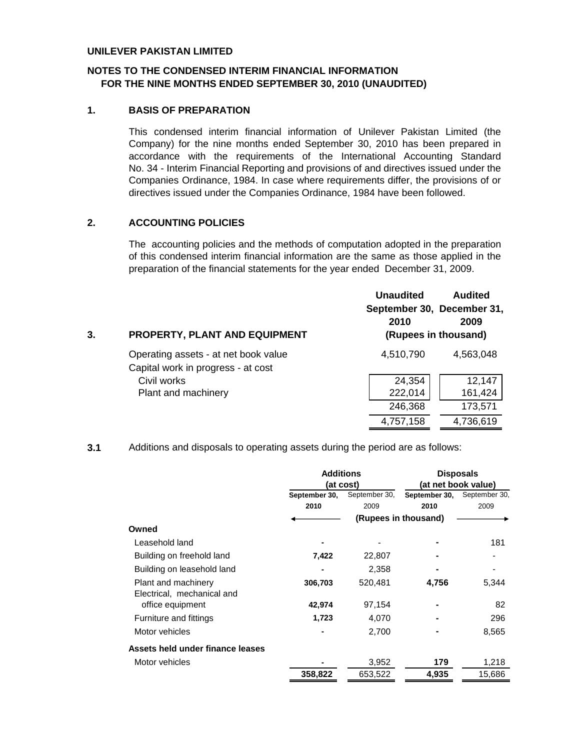## **NOTES TO THE CONDENSED INTERIM FINANCIAL INFORMATION FOR THE NINE MONTHS ENDED SEPTEMBER 30, 2010 (UNAUDITED)**

## **1. BASIS OF PREPARATION**

This condensed interim financial information of Unilever Pakistan Limited (the Company) for the nine months ended September 30, 2010 has been prepared in accordance with the requirements of the International Accounting Standard No. 34 - Interim Financial Reporting and provisions of and directives issued under the Companies Ordinance, 1984. In case where requirements differ, the provisions of or directives issued under the Companies Ordinance, 1984 have been followed.

#### **2. ACCOUNTING POLICIES**

The accounting policies and the methods of computation adopted in the preparation of this condensed interim financial information are the same as those applied in the preparation of the financial statements for the year ended December 31, 2009.

| 3. | <b>PROPERTY, PLANT AND EQUIPMENT</b>                                       | <b>Unaudited</b><br><b>Audited</b><br>September 30, December 31,<br>2009<br>2010<br>(Rupees in thousand) |  |
|----|----------------------------------------------------------------------------|----------------------------------------------------------------------------------------------------------|--|
|    | Operating assets - at net book value<br>Capital work in progress - at cost | 4,510,790<br>4,563,048                                                                                   |  |
|    | Civil works                                                                | 24,354<br>12,147                                                                                         |  |
|    | Plant and machinery                                                        | 222,014<br>161,424                                                                                       |  |
|    |                                                                            | 246,368<br>173,571                                                                                       |  |
|    |                                                                            | 4,736,619<br>4,757,158                                                                                   |  |

**3.1** Additions and disposals to operating assets during the period are as follows:

|                                  | <b>Additions</b>               |           | <b>Disposals</b>     |                     |
|----------------------------------|--------------------------------|-----------|----------------------|---------------------|
|                                  |                                | (at cost) |                      | (at net book value) |
|                                  | September 30,<br>September 30, |           | September 30,        | September 30,       |
|                                  | 2010                           | 2009      | 2010                 | 2009                |
|                                  |                                |           | (Rupees in thousand) |                     |
| Owned                            |                                |           |                      |                     |
| Leasehold land                   |                                |           |                      | 181                 |
| Building on freehold land        | 7,422                          | 22,807    |                      |                     |
| Building on leasehold land       |                                | 2,358     |                      |                     |
| Plant and machinery              | 306,703                        | 520,481   | 4,756                | 5,344               |
| Electrical, mechanical and       |                                |           |                      |                     |
| office equipment                 | 42,974                         | 97,154    |                      | 82                  |
| Furniture and fittings           | 1,723                          | 4,070     |                      | 296                 |
| Motor vehicles                   | ۰                              | 2,700     |                      | 8,565               |
| Assets held under finance leases |                                |           |                      |                     |
| Motor vehicles                   |                                | 3,952     | 179                  | 1,218               |
|                                  | 358,822                        | 653,522   | 4,935                | 15.686              |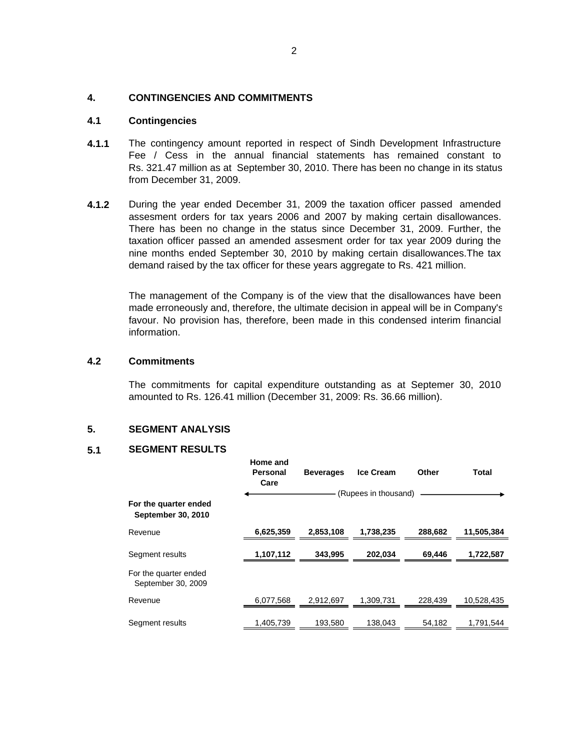#### **4. CONTINGENCIES AND COMMITMENTS**

#### **4.1 Contingencies**

- **4.1.1** The contingency amount reported in respect of Sindh Development Infrastructure Fee / Cess in the annual financial statements has remained constant to Rs. 321.47 million as at September 30, 2010. There has been no change in its status from December 31, 2009.
- **4.1.2** During the year ended December 31, 2009 the taxation officer passed amended assesment orders for tax years 2006 and 2007 by making certain disallowances. There has been no change in the status since December 31, 2009. Further, the taxation officer passed an amended assesment order for tax year 2009 during the nine months ended September 30, 2010 by making certain disallowances.The tax demand raised by the tax officer for these years aggregate to Rs. 421 million.

The management of the Company is of the view that the disallowances have been made erroneously and, therefore, the ultimate decision in appeal will be in Company's favour. No provision has, therefore, been made in this condensed interim financial information.

#### **4.2 Commitments**

The commitments for capital expenditure outstanding as at Septemer 30, 2010 amounted to Rs. 126.41 million (December 31, 2009: Rs. 36.66 million).

#### **5. SEGMENT ANALYSIS**

#### **5.1 SEGMENT RESULTS**

|                                             | Home and<br>Personal<br>Care | <b>Beverages</b> | <b>Ice Cream</b>     | Other   | <b>Total</b> |
|---------------------------------------------|------------------------------|------------------|----------------------|---------|--------------|
| For the quarter ended<br>September 30, 2010 |                              |                  | (Rupees in thousand) |         |              |
| Revenue                                     | 6,625,359                    | 2,853,108        | 1,738,235            | 288,682 | 11,505,384   |
| Segment results                             | 1,107,112                    | 343,995          | 202.034              | 69.446  | 1,722,587    |
| For the quarter ended<br>September 30, 2009 |                              |                  |                      |         |              |
| Revenue                                     | 6,077,568                    | 2.912.697        | 1.309.731            | 228.439 | 10,528,435   |
| Segment results                             | 1,405,739                    | 193,580          | 138,043              | 54,182  | 1,791,544    |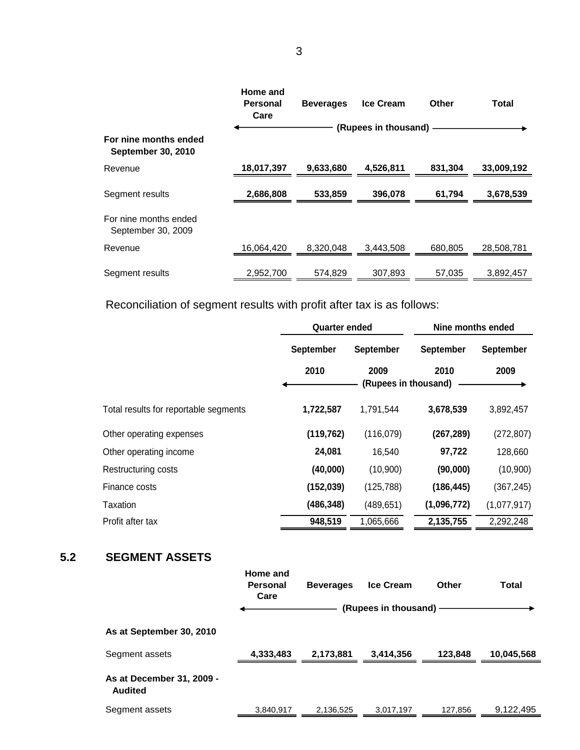|                                                    | Home and<br><b>Personal</b><br>Care | <b>Beverages</b> | <b>Ice Cream</b>     | Other   | Total      |
|----------------------------------------------------|-------------------------------------|------------------|----------------------|---------|------------|
|                                                    |                                     |                  | (Rupees in thousand) |         |            |
| For nine months ended<br><b>September 30, 2010</b> |                                     |                  |                      |         |            |
| Revenue                                            | 18,017,397                          | 9,633,680        | 4,526,811            | 831,304 | 33,009,192 |
| Segment results                                    | 2,686,808                           | 533,859          | 396,078              | 61,794  | 3,678,539  |
| For nine months ended<br>September 30, 2009        |                                     |                  |                      |         |            |
| Revenue                                            | 16,064,420                          | 8,320,048        | 3,443,508            | 680,805 | 28,508,781 |
| Segment results                                    | 2,952,700                           | 574.829          | 307.893              | 57.035  | 3.892.457  |

Reconciliation of segment results with profit after tax is as follows:

|                                       | <b>Quarter ended</b> |                              | Nine months ended |                  |  |
|---------------------------------------|----------------------|------------------------------|-------------------|------------------|--|
|                                       | <b>September</b>     | September                    | <b>September</b>  | <b>September</b> |  |
|                                       | 2010                 | 2009<br>(Rupees in thousand) | 2010              | 2009             |  |
| Total results for reportable segments | 1,722,587            | 1,791,544                    | 3,678,539         | 3,892,457        |  |
| Other operating expenses              | (119, 762)           | (116,079)                    | (267, 289)        | (272, 807)       |  |
| Other operating income                | 24,081               | 16,540                       | 97,722            | 128,660          |  |
| Restructuring costs                   | (40,000)             | (10,900)                     | (90,000)          | (10,900)         |  |
| Finance costs                         | (152, 039)           | (125, 788)                   | (186, 445)        | (367, 245)       |  |
| Taxation                              | (486,348)            | (489, 651)                   | (1,096,772)       | (1,077,917)      |  |
| Profit after tax                      | 948,519              | 1,065,666                    | 2,135,755         | 2,292,248        |  |

## **5.2 SEGMENT ASSETS**

|                                             | Home and<br><b>Personal</b><br>Care | <b>Beverages</b> | <b>Ice Cream</b>     | Other   | Total      |
|---------------------------------------------|-------------------------------------|------------------|----------------------|---------|------------|
|                                             |                                     |                  | (Rupees in thousand) |         |            |
| As at September 30, 2010                    |                                     |                  |                      |         |            |
| Segment assets                              | 4,333,483                           | 2,173,881        | 3,414,356            | 123.848 | 10,045,568 |
| As at December 31, 2009 -<br><b>Audited</b> |                                     |                  |                      |         |            |
| Segment assets                              | 3,840,917                           | 2,136,525        | 3,017,197            | 127,856 | 9,122,495  |
|                                             |                                     |                  |                      |         |            |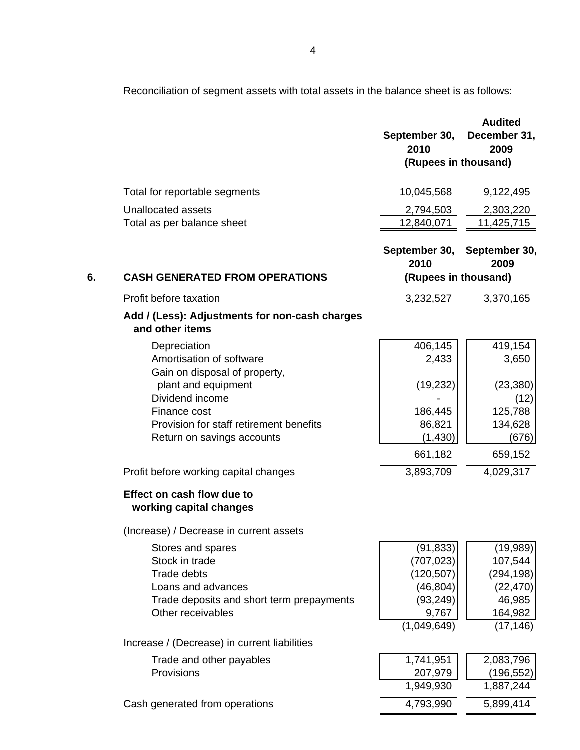Reconciliation of segment assets with total assets in the balance sheet is as follows:

|    |                                                                   | September 30,<br>2010<br>(Rupees in thousand) | <b>Audited</b><br>December 31,<br>2009 |
|----|-------------------------------------------------------------------|-----------------------------------------------|----------------------------------------|
|    | Total for reportable segments                                     | 10,045,568                                    | 9,122,495                              |
|    | Unallocated assets                                                | 2,794,503                                     | 2,303,220                              |
|    | Total as per balance sheet                                        | 12,840,071                                    | 11,425,715                             |
|    |                                                                   | September 30, September 30,<br>2010           | 2009                                   |
| 6. | <b>CASH GENERATED FROM OPERATIONS</b>                             | (Rupees in thousand)                          |                                        |
|    | Profit before taxation                                            | 3,232,527                                     | 3,370,165                              |
|    | Add / (Less): Adjustments for non-cash charges<br>and other items |                                               |                                        |
|    | Depreciation                                                      | 406,145                                       | 419,154                                |
|    | Amortisation of software                                          | 2,433                                         | 3,650                                  |
|    | Gain on disposal of property,<br>plant and equipment              | (19, 232)                                     | (23, 380)                              |
|    | Dividend income                                                   |                                               | (12)                                   |
|    | Finance cost                                                      | 186,445                                       | 125,788                                |
|    | Provision for staff retirement benefits                           | 86,821                                        | 134,628                                |
|    | Return on savings accounts                                        | (1,430)                                       | (676)                                  |
|    |                                                                   | 661,182                                       | 659,152                                |
|    | Profit before working capital changes                             | 3,893,709                                     | 4,029,317                              |
|    | Effect on cash flow due to<br>working capital changes             |                                               |                                        |
|    | (Increase) / Decrease in current assets                           |                                               |                                        |
|    | Stores and spares                                                 | (91, 833)                                     | (19,989)                               |
|    | Stock in trade                                                    | (707, 023)                                    | 107,544                                |
|    | <b>Trade debts</b><br>Loans and advances                          | (120, 507)                                    | (294, 198)                             |
|    | Trade deposits and short term prepayments                         | (46, 804)<br>(93, 249)                        | (22, 470)<br>46,985                    |
|    | Other receivables                                                 | 9,767                                         | 164,982                                |
|    |                                                                   | (1,049,649)                                   | (17, 146)                              |
|    | Increase / (Decrease) in current liabilities                      |                                               |                                        |
|    | Trade and other payables                                          | 1,741,951                                     | 2,083,796                              |
|    | Provisions                                                        | 207,979                                       | (196, 552)                             |
|    |                                                                   | 1,949,930                                     | 1,887,244                              |
|    | Cash generated from operations                                    | 4,793,990                                     | 5,899,414                              |
|    |                                                                   |                                               |                                        |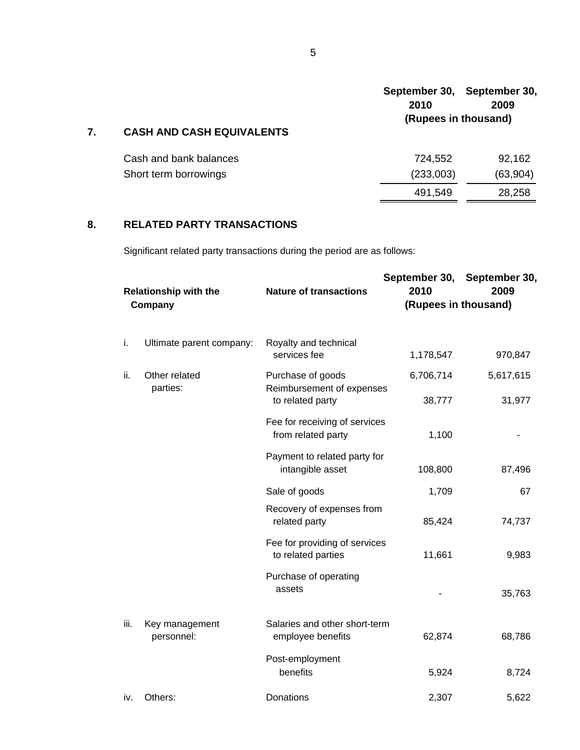|                                  | 2010                 | September 30, September 30,<br>2009 |  |  |
|----------------------------------|----------------------|-------------------------------------|--|--|
| <b>CASH AND CASH EQUIVALENTS</b> | (Rupees in thousand) |                                     |  |  |
| Cash and bank balances           | 724,552              | 92,162                              |  |  |
| Short term borrowings            | (233,003)            | (63,904)                            |  |  |
|                                  | 491,549              | 28,258                              |  |  |

## **8. RELATED PARTY TRANSACTIONS**

Significant related party transactions during the period are as follows:

| <b>Relationship with the</b><br>Company |                              | <b>Nature of transactions</b>                       | September 30, September 30,<br>2010<br>2009<br>(Rupees in thousand) |           |  |
|-----------------------------------------|------------------------------|-----------------------------------------------------|---------------------------------------------------------------------|-----------|--|
| j.                                      | Ultimate parent company:     | Royalty and technical<br>services fee               | 1,178,547                                                           | 970,847   |  |
| ii.                                     | Other related<br>parties:    | Purchase of goods<br>Reimbursement of expenses      | 6,706,714                                                           | 5,617,615 |  |
|                                         |                              | to related party                                    | 38,777                                                              | 31,977    |  |
|                                         |                              | Fee for receiving of services<br>from related party | 1,100                                                               |           |  |
|                                         |                              | Payment to related party for<br>intangible asset    | 108,800                                                             | 87,496    |  |
|                                         |                              | Sale of goods                                       | 1,709                                                               | 67        |  |
|                                         |                              | Recovery of expenses from<br>related party          | 85,424                                                              | 74,737    |  |
|                                         |                              | Fee for providing of services<br>to related parties | 11,661                                                              | 9,983     |  |
|                                         |                              | Purchase of operating<br>assets                     |                                                                     | 35,763    |  |
| iii.                                    | Key management<br>personnel: | Salaries and other short-term<br>employee benefits  | 62,874                                                              | 68,786    |  |
|                                         |                              | Post-employment<br>benefits                         | 5,924                                                               | 8,724     |  |
| iv.                                     | Others:                      | Donations                                           | 2,307                                                               | 5,622     |  |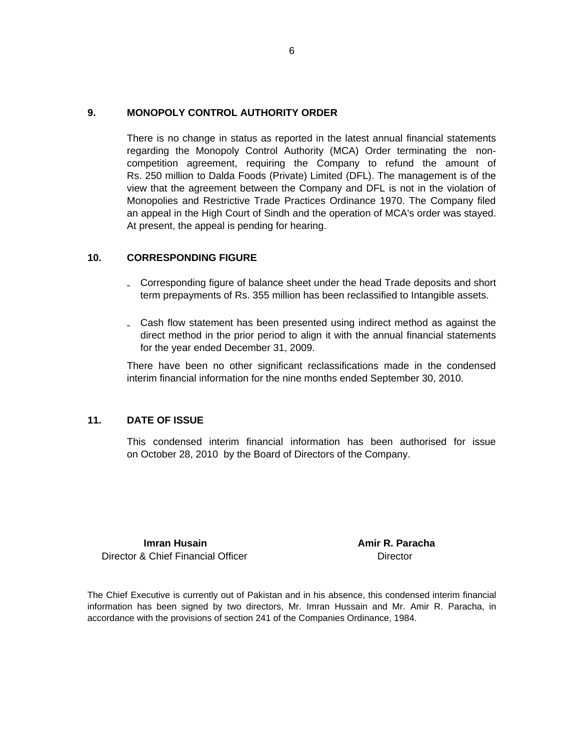#### **9. MONOPOLY CONTROL AUTHORITY ORDER**

There is no change in status as reported in the latest annual financial statements regarding the Monopoly Control Authority (MCA) Order terminating the noncompetition agreement, requiring the Company to refund the amount of Rs. 250 million to Dalda Foods (Private) Limited (DFL). The management is of the view that the agreement between the Company and DFL is not in the violation of Monopolies and Restrictive Trade Practices Ordinance 1970. The Company filed an appeal in the High Court of Sindh and the operation of MCA's order was stayed. At present, the appeal is pending for hearing.

#### **10. CORRESPONDING FIGURE**

- **₋** Corresponding figure of balance sheet under the head Trade deposits and short term prepayments of Rs. 355 million has been reclassified to Intangible assets.
- **₋** Cash flow statement has been presented using indirect method as against the direct method in the prior period to align it with the annual financial statements for the year ended December 31, 2009.

There have been no other significant reclassifications made in the condensed interim financial information for the nine months ended September 30, 2010.

#### **11. DATE OF ISSUE**

This condensed interim financial information has been authorised for issue on October 28, 2010 by the Board of Directors of the Company.

Director & Chief Financial Officer **Director** Director

**Imran Husain Amir R. Paracha** 

The Chief Executive is currently out of Pakistan and in his absence, this condensed interim financial information has been signed by two directors, Mr. Imran Hussain and Mr. Amir R. Paracha, in accordance with the provisions of section 241 of the Companies Ordinance, 1984.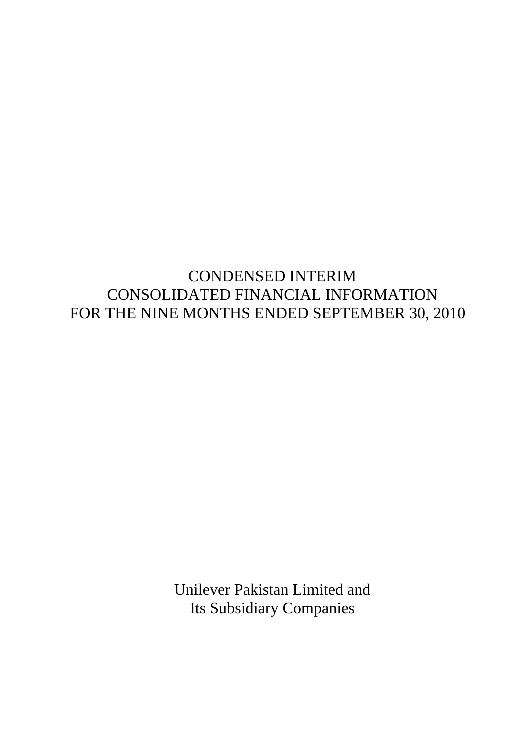# CONDENSED INTERIM CONSOLIDATED FINANCIAL INFORMATION FOR THE NINE MONTHS ENDED SEPTEMBER 30, 2010

Unilever Pakistan Limited and Its Subsidiary Companies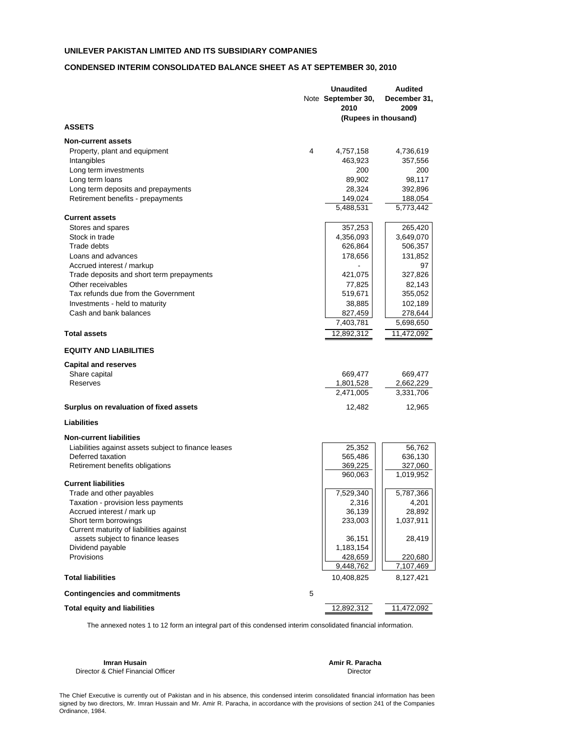#### **CONDENSED INTERIM CONSOLIDATED BALANCE SHEET AS AT SEPTEMBER 30, 2010**

|                                                      |   | <b>Unaudited</b>     | <b>Audited</b>  |
|------------------------------------------------------|---|----------------------|-----------------|
|                                                      |   | Note September 30,   | December 31,    |
|                                                      |   | 2010                 | 2009            |
|                                                      |   | (Rupees in thousand) |                 |
| <b>ASSETS</b>                                        |   |                      |                 |
| <b>Non-current assets</b>                            |   |                      |                 |
| Property, plant and equipment                        | 4 | 4,757,158            | 4,736,619       |
| Intangibles                                          |   | 463,923              | 357,556         |
| Long term investments                                |   | 200                  | 200             |
| Long term loans                                      |   | 89,902               | 98,117          |
| Long term deposits and prepayments                   |   | 28,324               | 392,896         |
| Retirement benefits - prepayments                    |   | 149,024              | 188,054         |
|                                                      |   | 5,488,531            | 5,773,442       |
| <b>Current assets</b>                                |   |                      |                 |
| Stores and spares                                    |   | 357,253              | 265,420         |
| Stock in trade                                       |   | 4,356,093            | 3,649,070       |
| Trade debts                                          |   | 626,864              | 506,357         |
| Loans and advances                                   |   | 178,656              | 131,852         |
|                                                      |   |                      | 97              |
| Accrued interest / markup                            |   |                      |                 |
| Trade deposits and short term prepayments            |   | 421,075              | 327,826         |
| Other receivables                                    |   | 77,825               | 82,143          |
| Tax refunds due from the Government                  |   | 519,671              | 355,052         |
| Investments - held to maturity                       |   | 38,885               | 102,189         |
| Cash and bank balances                               |   | 827,459              | 278,644         |
|                                                      |   | 7,403,781            | 5,698,650       |
| <b>Total assets</b>                                  |   | 12,892,312           | 11,472,092      |
| <b>EQUITY AND LIABILITIES</b>                        |   |                      |                 |
| <b>Capital and reserves</b>                          |   |                      |                 |
| Share capital                                        |   | 669,477              | 669,477         |
| Reserves                                             |   | 1,801,528            | 2,662,229       |
|                                                      |   | 2,471,005            | 3,331,706       |
| Surplus on revaluation of fixed assets               |   | 12,482               | 12,965          |
|                                                      |   |                      |                 |
| Liabilities                                          |   |                      |                 |
| <b>Non-current liabilities</b>                       |   |                      |                 |
| Liabilities against assets subject to finance leases |   | 25,352               | 56,762          |
| Deferred taxation                                    |   | 565,486              | 636,130         |
| Retirement benefits obligations                      |   | 369,225              | 327,060         |
|                                                      |   | 960,063              | 1,019,952       |
| <b>Current liabilities</b>                           |   |                      |                 |
| Trade and other payables                             |   | 7,529,340            | 5,787,366       |
| Taxation - provision less payments                   |   | 2,316<br>36,139      | 4,201<br>28,892 |
| Accrued interest / mark up<br>Short term borrowings  |   | 233,003              | 1,037,911       |
| Current maturity of liabilities against              |   |                      |                 |
| assets subject to finance leases                     |   | 36,151               | 28,419          |
| Dividend payable                                     |   | 1,183,154            |                 |
| Provisions                                           |   | 428,659              | 220,680         |
|                                                      |   | 9,448,762            | 7,107,469       |
| <b>Total liabilities</b>                             |   | 10,408,825           | 8,127,421       |
| <b>Contingencies and commitments</b>                 | 5 |                      |                 |
| <b>Total equity and liabilities</b>                  |   | 12,892,312           | 11,472,092      |
|                                                      |   |                      |                 |

The annexed notes 1 to 12 form an integral part of this condensed interim consolidated financial information.

Director & Chief Financial Officer **Director** Director

**Imran Husain Amir R. Paracha** 

The Chief Executive is currently out of Pakistan and in his absence, this condensed interim consolidated financial information has been signed by two directors, Mr. Imran Hussain and Mr. Amir R. Paracha, in accordance with the provisions of section 241 of the Companies Ordinance, 1984.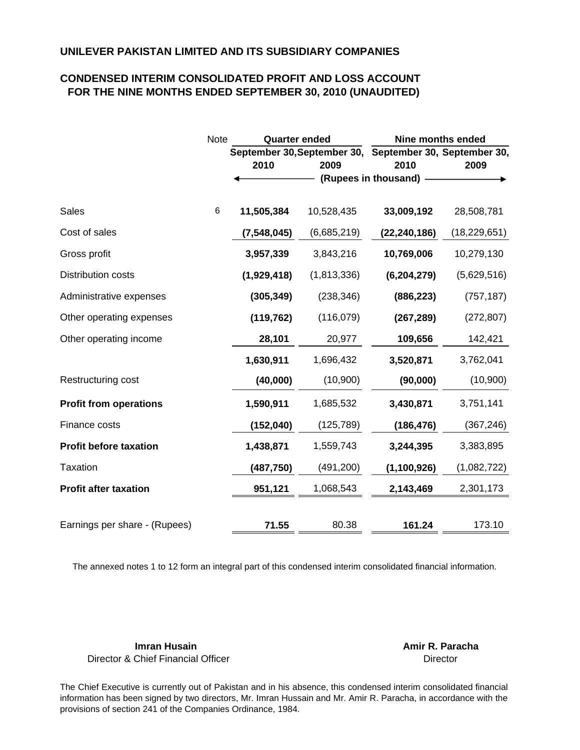## **CONDENSED INTERIM CONSOLIDATED PROFIT AND LOSS ACCOUNT FOR THE NINE MONTHS ENDED SEPTEMBER 30, 2010 (UNAUDITED)**

|                               | Note | <b>Quarter ended</b> |             | <b>Nine months ended</b>                                |                |  |
|-------------------------------|------|----------------------|-------------|---------------------------------------------------------|----------------|--|
|                               |      |                      |             | September 30, September 30, September 30, September 30, |                |  |
|                               |      | 2010                 | 2009        | 2010                                                    | 2009           |  |
|                               |      |                      |             | (Rupees in thousand)                                    |                |  |
| <b>Sales</b>                  | 6    | 11,505,384           | 10,528,435  | 33,009,192                                              | 28,508,781     |  |
| Cost of sales                 |      | (7, 548, 045)        | (6,685,219) | (22, 240, 186)                                          | (18, 229, 651) |  |
| Gross profit                  |      | 3,957,339            | 3,843,216   | 10,769,006                                              | 10,279,130     |  |
| <b>Distribution costs</b>     |      | (1,929,418)          | (1,813,336) | (6, 204, 279)                                           | (5,629,516)    |  |
| Administrative expenses       |      | (305, 349)           | (238, 346)  | (886, 223)                                              | (757, 187)     |  |
| Other operating expenses      |      | (119, 762)           | (116, 079)  | (267, 289)                                              | (272, 807)     |  |
| Other operating income        |      | 28,101               | 20,977      | 109,656                                                 | 142,421        |  |
|                               |      | 1,630,911            | 1,696,432   | 3,520,871                                               | 3,762,041      |  |
| Restructuring cost            |      | (40,000)             | (10,900)    | (90,000)                                                | (10,900)       |  |
| <b>Profit from operations</b> |      | 1,590,911            | 1,685,532   | 3,430,871                                               | 3,751,141      |  |
| Finance costs                 |      | (152,040)            | (125, 789)  | (186, 476)                                              | (367, 246)     |  |
| <b>Profit before taxation</b> |      | 1,438,871            | 1,559,743   | 3,244,395                                               | 3,383,895      |  |
| <b>Taxation</b>               |      | (487, 750)           | (491, 200)  | (1, 100, 926)                                           | (1,082,722)    |  |
| <b>Profit after taxation</b>  |      | 951,121              | 1,068,543   | 2,143,469                                               | 2,301,173      |  |
|                               |      |                      |             |                                                         |                |  |
| Earnings per share - (Rupees) |      | 71.55                | 80.38       | 161.24                                                  | 173.10         |  |

The annexed notes 1 to 12 form an integral part of this condensed interim consolidated financial information.

**Imran Husain Amir R. Paracha** Director & Chief Financial Officer

**Director** 

The Chief Executive is currently out of Pakistan and in his absence, this condensed interim consolidated financial information has been signed by two directors, Mr. Imran Hussain and Mr. Amir R. Paracha, in accordance with the provisions of section 241 of the Companies Ordinance, 1984.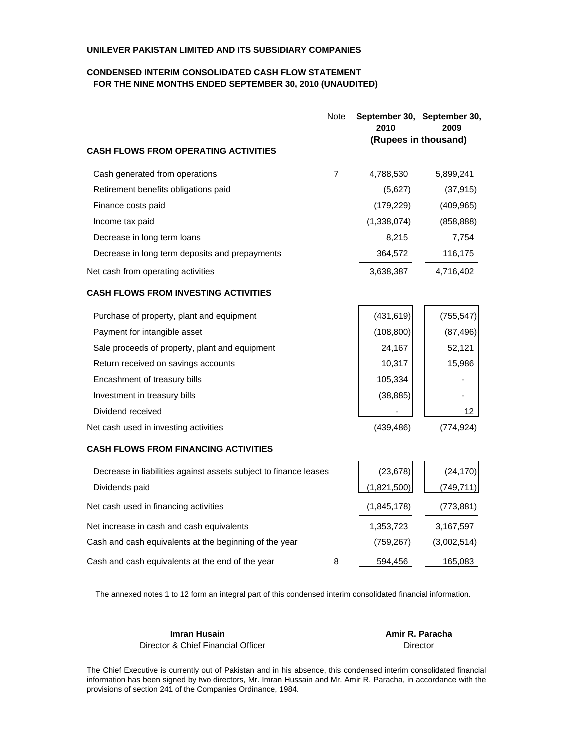#### **CONDENSED INTERIM CONSOLIDATED CASH FLOW STATEMENT FOR THE NINE MONTHS ENDED SEPTEMBER 30, 2010 (UNAUDITED)**

| Note                                                             | 2010        | September 30, September 30,<br>2009 |
|------------------------------------------------------------------|-------------|-------------------------------------|
| <b>CASH FLOWS FROM OPERATING ACTIVITIES</b>                      |             | (Rupees in thousand)                |
| 7<br>Cash generated from operations                              | 4,788,530   | 5,899,241                           |
| Retirement benefits obligations paid                             | (5,627)     | (37, 915)                           |
| Finance costs paid                                               | (179, 229)  | (409, 965)                          |
| Income tax paid                                                  | (1,338,074) | (858, 888)                          |
| Decrease in long term loans                                      | 8,215       | 7,754                               |
| Decrease in long term deposits and prepayments                   | 364,572     | 116,175                             |
| Net cash from operating activities                               | 3,638,387   | 4,716,402                           |
| <b>CASH FLOWS FROM INVESTING ACTIVITIES</b>                      |             |                                     |
| Purchase of property, plant and equipment                        | (431, 619)  | (755, 547)                          |
| Payment for intangible asset                                     | (108, 800)  | (87, 496)                           |
| Sale proceeds of property, plant and equipment                   | 24,167      | 52,121                              |
| Return received on savings accounts                              | 10,317      | 15,986                              |
| Encashment of treasury bills                                     | 105,334     |                                     |
| Investment in treasury bills                                     | (38, 885)   |                                     |
| Dividend received                                                |             | 12                                  |
| Net cash used in investing activities                            | (439, 486)  | (774, 924)                          |
| <b>CASH FLOWS FROM FINANCING ACTIVITIES</b>                      |             |                                     |
| Decrease in liabilities against assets subject to finance leases | (23, 678)   | (24, 170)                           |
| Dividends paid                                                   | (1,821,500) | (749, 711)                          |
| Net cash used in financing activities                            | (1,845,178) | (773, 881)                          |
| Net increase in cash and cash equivalents                        | 1,353,723   | 3,167,597                           |
| Cash and cash equivalents at the beginning of the year           | (759, 267)  | (3,002,514)                         |
| 8<br>Cash and cash equivalents at the end of the year            | 594,456     | 165,083                             |

The annexed notes 1 to 12 form an integral part of this condensed interim consolidated financial information.

**Imran Husain Amir R. Paracha** Director & Chief Financial Officer

Director

The Chief Executive is currently out of Pakistan and in his absence, this condensed interim consolidated financial information has been signed by two directors, Mr. Imran Hussain and Mr. Amir R. Paracha, in accordance with the provisions of section 241 of the Companies Ordinance, 1984.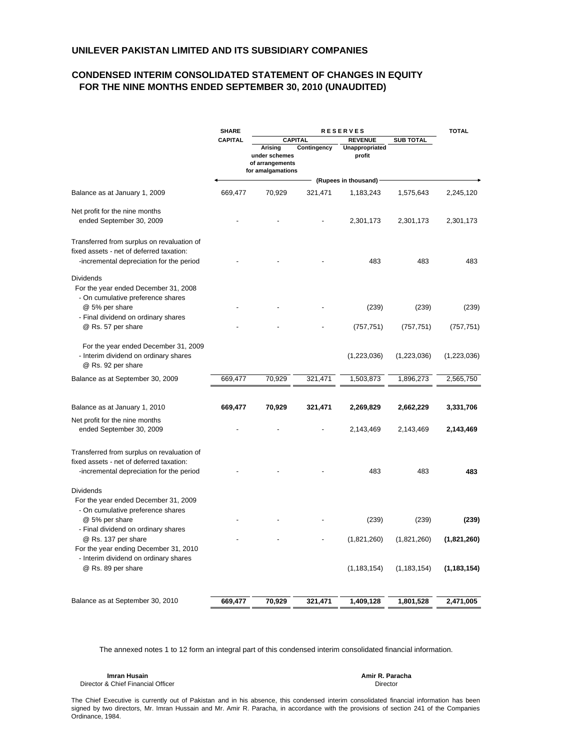#### **CONDENSED INTERIM CONSOLIDATED STATEMENT OF CHANGES IN EQUITY FOR THE NINE MONTHS ENDED SEPTEMBER 30, 2010 (UNAUDITED)**

|                                                                                                                                    | <b>SHARE</b><br><b>RESERVES</b> |                                                                  |                               |                                            | <b>TOTAL</b>     |               |
|------------------------------------------------------------------------------------------------------------------------------------|---------------------------------|------------------------------------------------------------------|-------------------------------|--------------------------------------------|------------------|---------------|
|                                                                                                                                    | <b>CAPITAL</b>                  | Arising<br>under schemes<br>of arrangements<br>for amalgamations | <b>CAPITAL</b><br>Contingency | <b>REVENUE</b><br>Unappropriated<br>profit | <b>SUB TOTAL</b> |               |
|                                                                                                                                    |                                 |                                                                  |                               | (Rupees in thousand)                       |                  |               |
| Balance as at January 1, 2009                                                                                                      | 669,477                         | 70,929                                                           | 321,471                       | 1,183,243                                  | 1,575,643        | 2,245,120     |
| Net profit for the nine months<br>ended September 30, 2009                                                                         |                                 |                                                                  |                               | 2,301,173                                  | 2,301,173        | 2,301,173     |
| Transferred from surplus on revaluation of<br>fixed assets - net of deferred taxation:<br>-incremental depreciation for the period |                                 |                                                                  |                               | 483                                        | 483              | 483           |
| <b>Dividends</b><br>For the year ended December 31, 2008<br>- On cumulative preference shares<br>@ 5% per share                    |                                 |                                                                  |                               | (239)                                      | (239)            | (239)         |
| - Final dividend on ordinary shares<br>@ Rs. 57 per share                                                                          |                                 |                                                                  |                               | (757, 751)                                 | (757, 751)       | (757, 751)    |
| For the year ended December 31, 2009<br>- Interim dividend on ordinary shares<br>@ Rs. 92 per share                                |                                 |                                                                  |                               | (1,223,036)                                | (1,223,036)      | (1,223,036)   |
| Balance as at September 30, 2009                                                                                                   | 669,477                         | 70,929                                                           | 321,471                       | 1,503,873                                  | 1,896,273        | 2,565,750     |
| Balance as at January 1, 2010                                                                                                      | 669,477                         | 70,929                                                           | 321,471                       | 2,269,829                                  | 2,662,229        | 3,331,706     |
| Net profit for the nine months<br>ended September 30, 2009                                                                         |                                 |                                                                  |                               | 2,143,469                                  | 2,143,469        | 2,143,469     |
| Transferred from surplus on revaluation of<br>fixed assets - net of deferred taxation:<br>-incremental depreciation for the period |                                 |                                                                  |                               | 483                                        | 483              | 483           |
| <b>Dividends</b><br>For the year ended December 31, 2009<br>- On cumulative preference shares                                      |                                 |                                                                  |                               |                                            |                  |               |
| @ 5% per share<br>- Final dividend on ordinary shares                                                                              |                                 |                                                                  |                               | (239)                                      | (239)            | (239)         |
| @ Rs. 137 per share<br>For the year ending December 31, 2010                                                                       |                                 |                                                                  |                               | (1,821,260)                                | (1,821,260)      | (1,821,260)   |
| - Interim dividend on ordinary shares<br>@ Rs. 89 per share                                                                        |                                 |                                                                  |                               | (1, 183, 154)                              | (1, 183, 154)    | (1, 183, 154) |
| Balance as at September 30, 2010                                                                                                   | 669,477                         | 70,929                                                           | 321,471                       | 1,409,128                                  | 1,801,528        | 2,471,005     |
|                                                                                                                                    |                                 |                                                                  |                               |                                            |                  |               |

The annexed notes 1 to 12 form an integral part of this condensed interim consolidated financial information.

**Imran Husain Amir R. Paracha** Director & Chief Financial Officer

Director

The Chief Executive is currently out of Pakistan and in his absence, this condensed interim consolidated financial information has been signed by two directors, Mr. Imran Hussain and Mr. Amir R. Paracha, in accordance with the provisions of section 241 of the Companies Ordinance, 1984.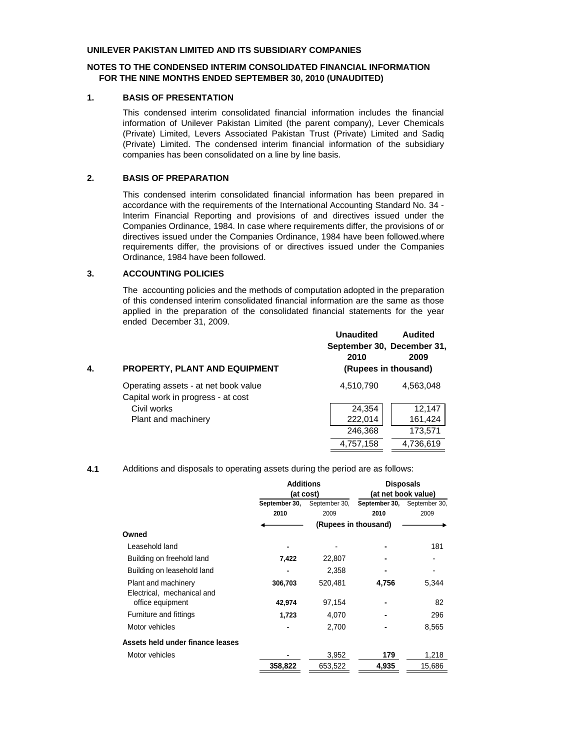#### **NOTES TO THE CONDENSED INTERIM CONSOLIDATED FINANCIAL INFORMATION FOR THE NINE MONTHS ENDED SEPTEMBER 30, 2010 (UNAUDITED)**

#### **1. BASIS OF PRESENTATION**

This condensed interim consolidated financial information includes the financial information of Unilever Pakistan Limited (the parent company), Lever Chemicals (Private) Limited, Levers Associated Pakistan Trust (Private) Limited and Sadiq (Private) Limited. The condensed interim financial information of the subsidiary companies has been consolidated on a line by line basis.

#### **2. BASIS OF PREPARATION**

This condensed interim consolidated financial information has been prepared in accordance with the requirements of the International Accounting Standard No. 34 - Interim Financial Reporting and provisions of and directives issued under the Companies Ordinance, 1984. In case where requirements differ, the provisions of or directives issued under the Companies Ordinance, 1984 have been followed.where requirements differ, the provisions of or directives issued under the Companies Ordinance, 1984 have been followed.

#### **3. ACCOUNTING POLICIES**

The accounting policies and the methods of computation adopted in the preparation of this condensed interim consolidated financial information are the same as those applied in the preparation of the consolidated financial statements for the year ended December 31, 2009.

| 4. | PROPERTY, PLANT AND EQUIPMENT                                              | <b>Unaudited</b><br>September 30, December 31,<br>2010<br>(Rupees in thousand) | <b>Audited</b><br>2009 |
|----|----------------------------------------------------------------------------|--------------------------------------------------------------------------------|------------------------|
|    | Operating assets - at net book value<br>Capital work in progress - at cost | 4,510,790                                                                      | 4,563,048              |
|    | Civil works                                                                | 24,354                                                                         | 12,147                 |
|    | Plant and machinery                                                        | 222,014                                                                        | 161,424                |
|    |                                                                            | 246,368                                                                        | 173,571                |
|    |                                                                            | 4,757,158                                                                      | 4,736,619              |

#### **4.1** Additions and disposals to operating assets during the period are as follows:

|                                  | <b>Additions</b> |               | <b>Disposals</b>            |                     |
|----------------------------------|------------------|---------------|-----------------------------|---------------------|
|                                  |                  | (at cost)     |                             | (at net book value) |
|                                  | September 30,    | September 30, | September 30, September 30, |                     |
|                                  | 2010             | 2009          | 2010                        | 2009                |
|                                  |                  |               | (Rupees in thousand)        |                     |
| Owned                            |                  |               |                             |                     |
| Leasehold land                   |                  |               |                             | 181                 |
| Building on freehold land        | 7,422            | 22,807        | ۰                           |                     |
| Building on leasehold land       |                  | 2,358         |                             |                     |
| Plant and machinery              | 306,703          | 520.481       | 4,756                       | 5,344               |
| Electrical, mechanical and       |                  |               |                             |                     |
| office equipment                 | 42,974           | 97,154        |                             | 82                  |
| Furniture and fittings           | 1,723            | 4,070         |                             | 296                 |
| Motor vehicles                   |                  | 2,700         |                             | 8,565               |
| Assets held under finance leases |                  |               |                             |                     |
| Motor vehicles                   |                  | 3,952         | 179                         | 1,218               |
|                                  | 358,822          | 653,522       | 4,935                       | 15,686              |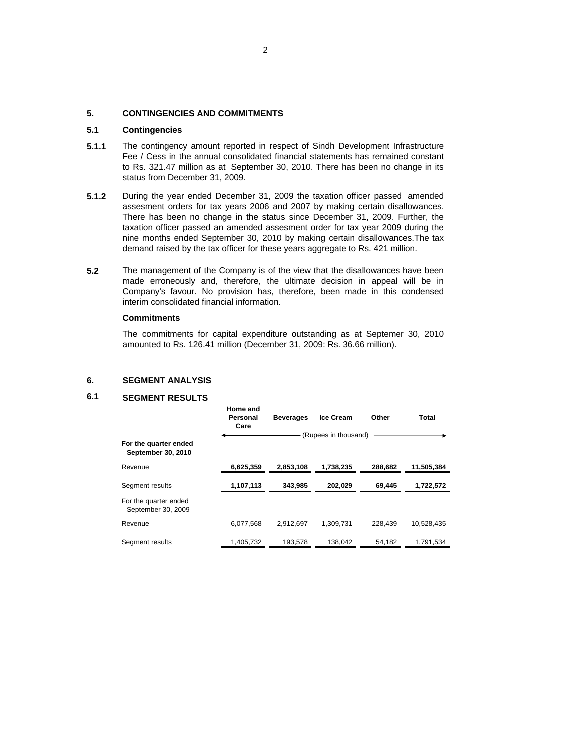#### **5. CONTINGENCIES AND COMMITMENTS**

#### **5.1 Contingencies**

- **5.1.1** The contingency amount reported in respect of Sindh Development Infrastructure Fee / Cess in the annual consolidated financial statements has remained constant to Rs. 321.47 million as at September 30, 2010. There has been no change in its status from December 31, 2009.
- **5.1.2** During the year ended December 31, 2009 the taxation officer passed amended assesment orders for tax years 2006 and 2007 by making certain disallowances. There has been no change in the status since December 31, 2009. Further, the taxation officer passed an amended assesment order for tax year 2009 during the nine months ended September 30, 2010 by making certain disallowances.The tax demand raised by the tax officer for these years aggregate to Rs. 421 million.
- **5.2** The management of the Company is of the view that the disallowances have been made erroneously and, therefore, the ultimate decision in appeal will be in Company's favour. No provision has, therefore, been made in this condensed interim consolidated financial information.

#### **Commitments**

The commitments for capital expenditure outstanding as at Septemer 30, 2010 amounted to Rs. 126.41 million (December 31, 2009: Rs. 36.66 million).

#### **6. SEGMENT ANALYSIS**

### **6.1 SEGMENT RESULTS**

|                                             | Home and<br>Personal<br>Care | <b>Beverages</b> | <b>Ice Cream</b>     | Other   | Total      |
|---------------------------------------------|------------------------------|------------------|----------------------|---------|------------|
|                                             |                              |                  | (Rupees in thousand) |         |            |
| For the quarter ended<br>September 30, 2010 |                              |                  |                      |         |            |
| Revenue                                     | 6,625,359                    | 2.853.108        | 1,738,235            | 288.682 | 11,505,384 |
| Segment results                             | 1,107,113                    | 343.985          | 202.029              | 69.445  | 1,722,572  |
| For the quarter ended<br>September 30, 2009 |                              |                  |                      |         |            |
| Revenue                                     | 6,077,568                    | 2,912,697        | 1.309.731            | 228.439 | 10,528,435 |
| Segment results                             | 1,405,732                    | 193,578          | 138,042              | 54,182  | 1,791,534  |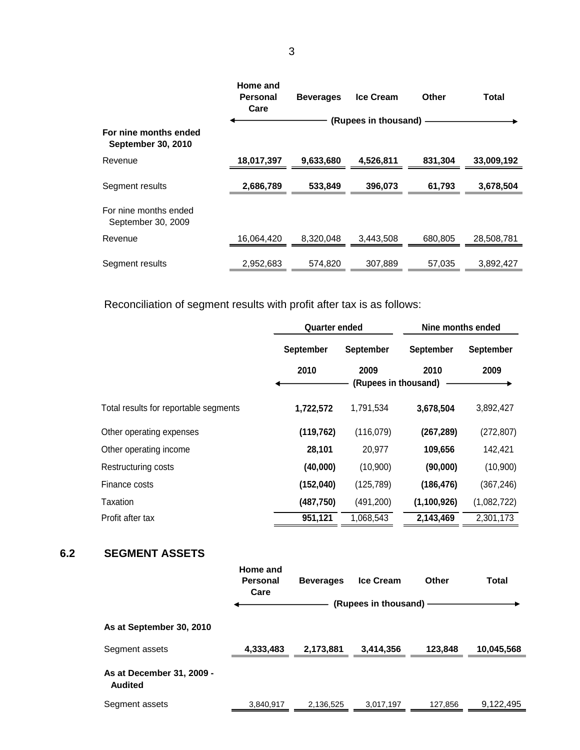|                                                    | Home and<br>Personal<br>Care | <b>Beverages</b> | <b>Ice Cream</b>     | <b>Other</b> | Total      |
|----------------------------------------------------|------------------------------|------------------|----------------------|--------------|------------|
|                                                    |                              |                  | (Rupees in thousand) |              |            |
| For nine months ended<br><b>September 30, 2010</b> |                              |                  |                      |              |            |
| Revenue                                            | 18,017,397                   | 9.633.680        | 4,526,811            | 831,304      | 33,009,192 |
| Segment results                                    | 2,686,789                    | 533.849          | 396.073              | 61,793       | 3,678,504  |
| For nine months ended<br>September 30, 2009        |                              |                  |                      |              |            |
| Revenue                                            | 16,064,420                   | 8.320.048        | 3,443,508            | 680,805      | 28,508,781 |
| Segment results                                    | 2.952.683                    | 574.820          | 307.889              | 57,035       | 3.892.427  |

Reconciliation of segment results with profit after tax is as follows:

|                                       | <b>Quarter ended</b> |                      | Nine months ended |             |  |
|---------------------------------------|----------------------|----------------------|-------------------|-------------|--|
|                                       | <b>September</b>     | <b>September</b>     | September         | September   |  |
|                                       | 2010                 | 2009                 | 2010              | 2009        |  |
|                                       |                      | (Rupees in thousand) |                   |             |  |
| Total results for reportable segments | 1,722,572            | 1,791,534            | 3,678,504         | 3,892,427   |  |
| Other operating expenses              | (119, 762)           | (116,079)            | (267, 289)        | (272, 807)  |  |
| Other operating income                | 28,101               | 20,977               | 109,656           | 142,421     |  |
| Restructuring costs                   | (40,000)             | (10,900)             | (90,000)          | (10,900)    |  |
| Finance costs                         | (152,040)            | (125, 789)           | (186, 476)        | (367, 246)  |  |
| Taxation                              | (487, 750)           | (491, 200)           | (1,100,926)       | (1,082,722) |  |
| Profit after tax                      | 951,121              | 1,068,543            | 2,143,469         | 2,301,173   |  |

## **6.2 SEGMENT ASSETS**

|                                             | Home and<br>Personal<br>Care | <b>Beverages</b> | <b>Ice Cream</b><br>(Rupees in thousand) · | Other   | Total      |
|---------------------------------------------|------------------------------|------------------|--------------------------------------------|---------|------------|
| As at September 30, 2010                    |                              |                  |                                            |         |            |
| Segment assets                              | 4,333,483                    | 2,173,881        | 3,414,356                                  | 123,848 | 10,045,568 |
| As at December 31, 2009 -<br><b>Audited</b> |                              |                  |                                            |         |            |
| Segment assets                              | 3.840.917                    | 2.136.525        | 3.017.197                                  | 127.856 | 9.122,495  |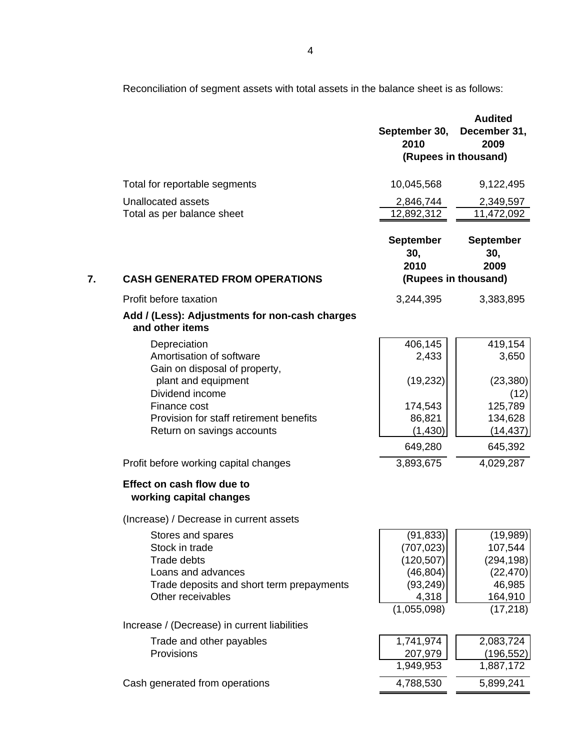Reconciliation of segment assets with total assets in the balance sheet is as follows:

|    |                                                                                                                                                   | September 30,<br>2010                                                                   | <b>Audited</b><br>December 31,<br>2009                                           |
|----|---------------------------------------------------------------------------------------------------------------------------------------------------|-----------------------------------------------------------------------------------------|----------------------------------------------------------------------------------|
|    |                                                                                                                                                   |                                                                                         | (Rupees in thousand)                                                             |
|    | Total for reportable segments                                                                                                                     | 10,045,568                                                                              | 9,122,495                                                                        |
|    | Unallocated assets                                                                                                                                | 2,846,744                                                                               | 2,349,597                                                                        |
|    | Total as per balance sheet                                                                                                                        | 12,892,312                                                                              | 11,472,092                                                                       |
|    |                                                                                                                                                   | <b>September</b><br>30,<br>2010                                                         | <b>September</b><br>30,<br>2009                                                  |
| 7. | <b>CASH GENERATED FROM OPERATIONS</b>                                                                                                             |                                                                                         | (Rupees in thousand)                                                             |
|    | Profit before taxation                                                                                                                            | 3,244,395                                                                               | 3,383,895                                                                        |
|    | Add / (Less): Adjustments for non-cash charges<br>and other items                                                                                 |                                                                                         |                                                                                  |
|    | Depreciation<br>Amortisation of software                                                                                                          | 406,145<br>2,433                                                                        | 419,154<br>3,650                                                                 |
|    | Gain on disposal of property,<br>plant and equipment<br>Dividend income                                                                           | (19, 232)                                                                               | (23, 380)<br>(12)                                                                |
|    | Finance cost                                                                                                                                      | 174,543                                                                                 | 125,789                                                                          |
|    | Provision for staff retirement benefits<br>Return on savings accounts                                                                             | 86,821<br>(1,430)                                                                       | 134,628<br>(14, 437)                                                             |
|    |                                                                                                                                                   | 649,280                                                                                 | 645,392                                                                          |
|    | Profit before working capital changes                                                                                                             | 3,893,675                                                                               | 4,029,287                                                                        |
|    | Effect on cash flow due to<br>working capital changes                                                                                             |                                                                                         |                                                                                  |
|    | (Increase) / Decrease in current assets                                                                                                           |                                                                                         |                                                                                  |
|    | Stores and spares<br>Stock in trade<br><b>Trade debts</b><br>Loans and advances<br>Trade deposits and short term prepayments<br>Other receivables | (91, 833)<br>(707, 023)<br>(120, 507)<br>(46, 804)<br>(93, 249)<br>4,318<br>(1,055,098) | (19,989)<br>107,544<br>(294, 198)<br>(22, 470)<br>46,985<br>164,910<br>(17, 218) |
|    | Increase / (Decrease) in current liabilities                                                                                                      |                                                                                         |                                                                                  |
|    | Trade and other payables                                                                                                                          | 1,741,974                                                                               | 2,083,724                                                                        |
|    | Provisions                                                                                                                                        | 207,979                                                                                 | (196, 552)                                                                       |
|    |                                                                                                                                                   | 1,949,953                                                                               | 1,887,172                                                                        |
|    | Cash generated from operations                                                                                                                    | 4,788,530                                                                               | 5,899,241                                                                        |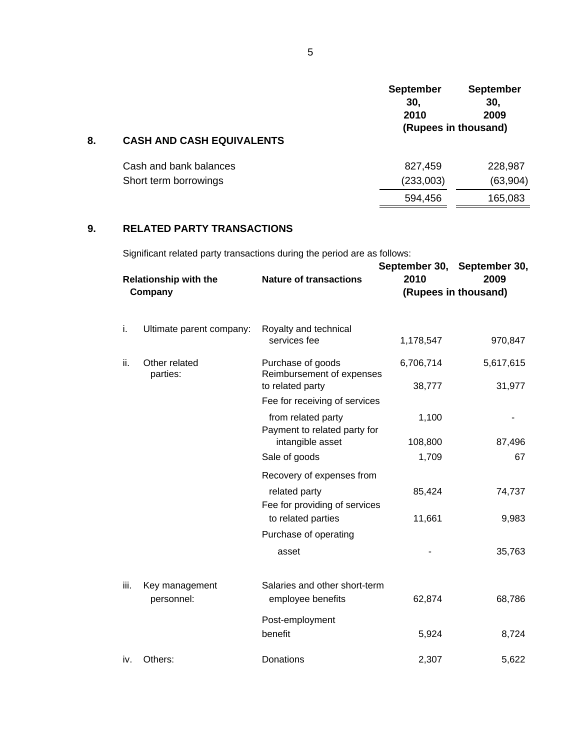|    |                                                          | <b>September</b><br>30,<br>2010 | <b>September</b><br>30,<br>2009 |
|----|----------------------------------------------------------|---------------------------------|---------------------------------|
| 8. | (Rupees in thousand)<br><b>CASH AND CASH EQUIVALENTS</b> |                                 |                                 |
|    | Cash and bank balances                                   | 827,459                         | 228,987                         |
|    | Short term borrowings                                    | (233,003)                       | (63,904)                        |
|    |                                                          | 594,456                         | 165,083                         |
|    |                                                          |                                 |                                 |

## **9. RELATED PARTY TRANSACTIONS**

Significant related party transactions during the period are as follows:

| <b>Relationship with the</b><br>Company |                              | <b>Nature of transactions</b>                                      | 2010                | September 30, September 30,<br>2009<br>(Rupees in thousand) |
|-----------------------------------------|------------------------------|--------------------------------------------------------------------|---------------------|-------------------------------------------------------------|
| i.                                      | Ultimate parent company:     | Royalty and technical<br>services fee                              | 1,178,547           | 970,847                                                     |
| ii.                                     | Other related<br>parties:    | Purchase of goods<br>Reimbursement of expenses<br>to related party | 6,706,714<br>38,777 | 5,617,615<br>31,977                                         |
|                                         |                              | Fee for receiving of services<br>from related party                | 1,100               |                                                             |
|                                         |                              | Payment to related party for<br>intangible asset<br>Sale of goods  | 108,800<br>1,709    | 87,496<br>67                                                |
|                                         |                              | Recovery of expenses from                                          |                     |                                                             |
|                                         |                              | related party<br>Fee for providing of services                     | 85,424              | 74,737                                                      |
|                                         |                              | to related parties<br>Purchase of operating                        | 11,661              | 9,983                                                       |
|                                         |                              | asset                                                              |                     | 35,763                                                      |
| iii.                                    | Key management<br>personnel: | Salaries and other short-term<br>employee benefits                 | 62,874              | 68,786                                                      |
|                                         |                              | Post-employment<br>benefit                                         | 5,924               | 8,724                                                       |
| iv.                                     | Others:                      | Donations                                                          | 2,307               | 5,622                                                       |